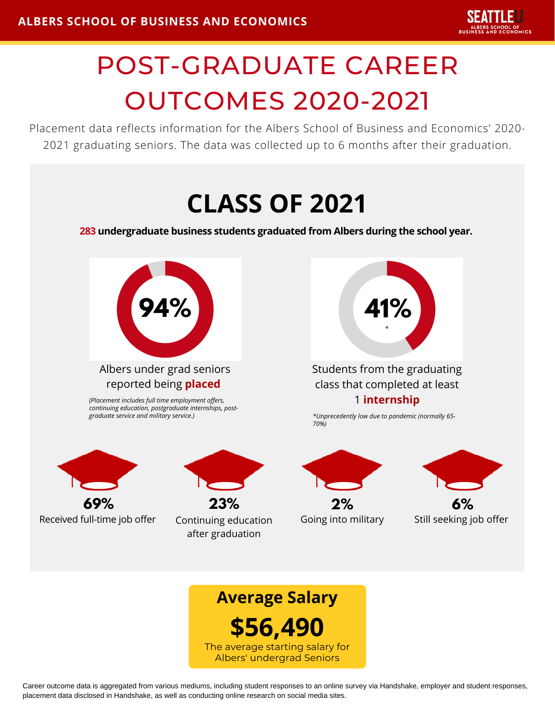# POST-GRADUATE CAREER OUTCOMES 2020-2021

Placement data reflects information for the Albers School of Business and Economics' 2020- 2021 graduating seniors. The data was collected up to 6 months after their graduation.





Career outcome data is aggregated from various mediums, including student responses to an online survey via Handshake, employer and student responses, placement data disclosed in Handshake, as well as conducting online research on social media sites.